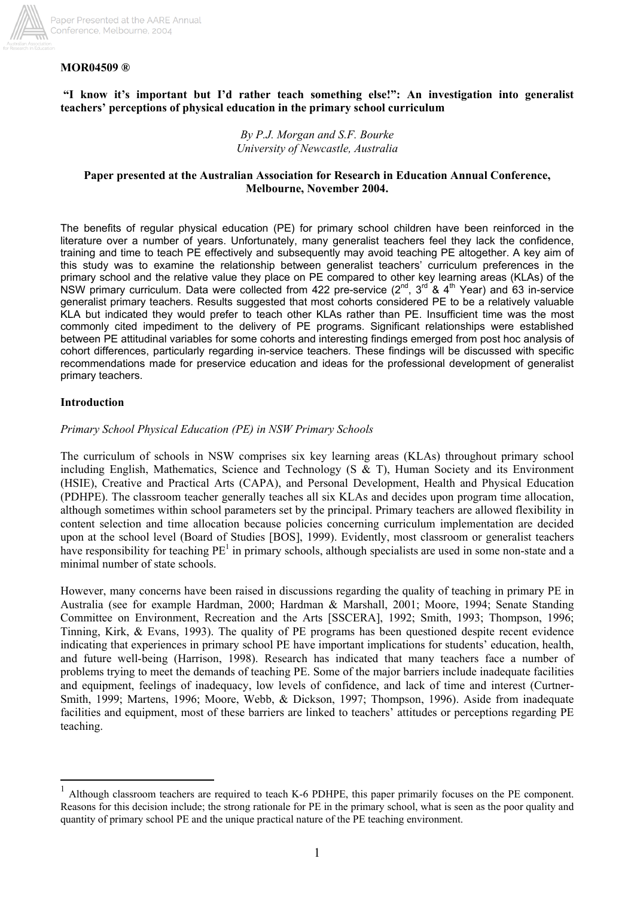

## **MOR04509 ®**

### **"I know it's important but I'd rather teach something else!": An investigation into generalist teachers' perceptions of physical education in the primary school curriculum**

*By P.J. Morgan and S.F. Bourke University of Newcastle, Australia* 

### **Paper presented at the Australian Association for Research in Education Annual Conference, Melbourne, November 2004.**

The benefits of regular physical education (PE) for primary school children have been reinforced in the literature over a number of years. Unfortunately, many generalist teachers feel they lack the confidence, training and time to teach PE effectively and subsequently may avoid teaching PE altogether. A key aim of this study was to examine the relationship between generalist teachers' curriculum preferences in the primary school and the relative value they place on PE compared to other key learning areas (KLAs) of the NSW primary curriculum. Data were collected from 422 pre-service  $(2^{nd}, 3^{rd}, 8, 4^{th}, 1)$  Year) and 63 in-service generalist primary teachers. Results suggested that most cohorts considered PE to be a relatively valuable KLA but indicated they would prefer to teach other KLAs rather than PE. Insufficient time was the most commonly cited impediment to the delivery of PE programs. Significant relationships were established between PE attitudinal variables for some cohorts and interesting findings emerged from post hoc analysis of cohort differences, particularly regarding in-service teachers. These findings will be discussed with specific recommendations made for preservice education and ideas for the professional development of generalist primary teachers.

### **Introduction**

 $\overline{a}$ 

### *Primary School Physical Education (PE) in NSW Primary Schools*

The curriculum of schools in NSW comprises six key learning areas (KLAs) throughout primary school including English, Mathematics, Science and Technology ( $S \& T$ ), Human Society and its Environment (HSIE), Creative and Practical Arts (CAPA), and Personal Development, Health and Physical Education (PDHPE). The classroom teacher generally teaches all six KLAs and decides upon program time allocation, although sometimes within school parameters set by the principal. Primary teachers are allowed flexibility in content selection and time allocation because policies concerning curriculum implementation are decided upon at the school level (Board of Studies [BOS], 1999). Evidently, most classroom or generalist teachers have responsibility for teaching  $PE<sup>1</sup>$  in primary schools, although specialists are used in some non-state and a minimal number of state schools.

However, many concerns have been raised in discussions regarding the quality of teaching in primary PE in Australia (see for example Hardman, 2000; Hardman & Marshall, 2001; Moore, 1994; Senate Standing Committee on Environment, Recreation and the Arts [SSCERA], 1992; Smith, 1993; Thompson, 1996; Tinning, Kirk, & Evans, 1993). The quality of PE programs has been questioned despite recent evidence indicating that experiences in primary school PE have important implications for students' education, health, and future well-being (Harrison, 1998). Research has indicated that many teachers face a number of problems trying to meet the demands of teaching PE. Some of the major barriers include inadequate facilities and equipment, feelings of inadequacy, low levels of confidence, and lack of time and interest (Curtner-Smith, 1999; Martens, 1996; Moore, Webb, & Dickson, 1997; Thompson, 1996). Aside from inadequate facilities and equipment, most of these barriers are linked to teachers' attitudes or perceptions regarding PE teaching.

<sup>1</sup> Although classroom teachers are required to teach K-6 PDHPE, this paper primarily focuses on the PE component. Reasons for this decision include; the strong rationale for PE in the primary school, what is seen as the poor quality and quantity of primary school PE and the unique practical nature of the PE teaching environment.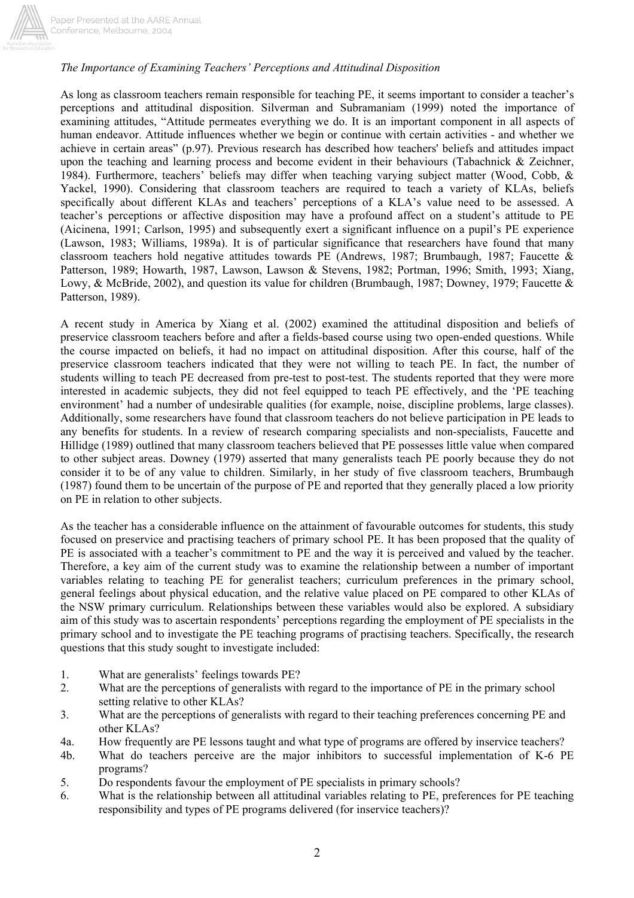

Paper Presented at the AARE Annual Conference, Melbourne, 2004

## *The Importance of Examining Teachers' Perceptions and Attitudinal Disposition*

As long as classroom teachers remain responsible for teaching PE, it seems important to consider a teacher's perceptions and attitudinal disposition. Silverman and Subramaniam (1999) noted the importance of examining attitudes, "Attitude permeates everything we do. It is an important component in all aspects of human endeavor. Attitude influences whether we begin or continue with certain activities - and whether we achieve in certain areas" (p.97). Previous research has described how teachers' beliefs and attitudes impact upon the teaching and learning process and become evident in their behaviours (Tabachnick & Zeichner, 1984). Furthermore, teachers' beliefs may differ when teaching varying subject matter (Wood, Cobb, & Yackel, 1990). Considering that classroom teachers are required to teach a variety of KLAs, beliefs specifically about different KLAs and teachers' perceptions of a KLA's value need to be assessed. A teacher's perceptions or affective disposition may have a profound affect on a student's attitude to PE (Aicinena, 1991; Carlson, 1995) and subsequently exert a significant influence on a pupil's PE experience (Lawson, 1983; Williams, 1989a). It is of particular significance that researchers have found that many classroom teachers hold negative attitudes towards PE (Andrews, 1987; Brumbaugh, 1987; Faucette & Patterson, 1989; Howarth, 1987, Lawson, Lawson & Stevens, 1982; Portman, 1996; Smith, 1993; Xiang, Lowy, & McBride, 2002), and question its value for children (Brumbaugh, 1987; Downey, 1979; Faucette & Patterson, 1989).

A recent study in America by Xiang et al. (2002) examined the attitudinal disposition and beliefs of preservice classroom teachers before and after a fields-based course using two open-ended questions. While the course impacted on beliefs, it had no impact on attitudinal disposition. After this course, half of the preservice classroom teachers indicated that they were not willing to teach PE. In fact, the number of students willing to teach PE decreased from pre-test to post-test. The students reported that they were more interested in academic subjects, they did not feel equipped to teach PE effectively, and the 'PE teaching environment' had a number of undesirable qualities (for example, noise, discipline problems, large classes). Additionally, some researchers have found that classroom teachers do not believe participation in PE leads to any benefits for students. In a review of research comparing specialists and non-specialists, Faucette and Hillidge (1989) outlined that many classroom teachers believed that PE possesses little value when compared to other subject areas. Downey (1979) asserted that many generalists teach PE poorly because they do not consider it to be of any value to children. Similarly, in her study of five classroom teachers, Brumbaugh (1987) found them to be uncertain of the purpose of PE and reported that they generally placed a low priority on PE in relation to other subjects.

As the teacher has a considerable influence on the attainment of favourable outcomes for students, this study focused on preservice and practising teachers of primary school PE. It has been proposed that the quality of PE is associated with a teacher's commitment to PE and the way it is perceived and valued by the teacher. Therefore, a key aim of the current study was to examine the relationship between a number of important variables relating to teaching PE for generalist teachers; curriculum preferences in the primary school, general feelings about physical education, and the relative value placed on PE compared to other KLAs of the NSW primary curriculum. Relationships between these variables would also be explored. A subsidiary aim of this study was to ascertain respondents' perceptions regarding the employment of PE specialists in the primary school and to investigate the PE teaching programs of practising teachers. Specifically, the research questions that this study sought to investigate included:

- 1. What are generalists' feelings towards PE?
- 2. What are the perceptions of generalists with regard to the importance of PE in the primary school setting relative to other KLAs?
- 3. What are the perceptions of generalists with regard to their teaching preferences concerning PE and other KLAs?
- 4a. How frequently are PE lessons taught and what type of programs are offered by inservice teachers?
- 4b. What do teachers perceive are the major inhibitors to successful implementation of K-6 PE programs?
- 5. Do respondents favour the employment of PE specialists in primary schools?
- 6. What is the relationship between all attitudinal variables relating to PE, preferences for PE teaching responsibility and types of PE programs delivered (for inservice teachers)?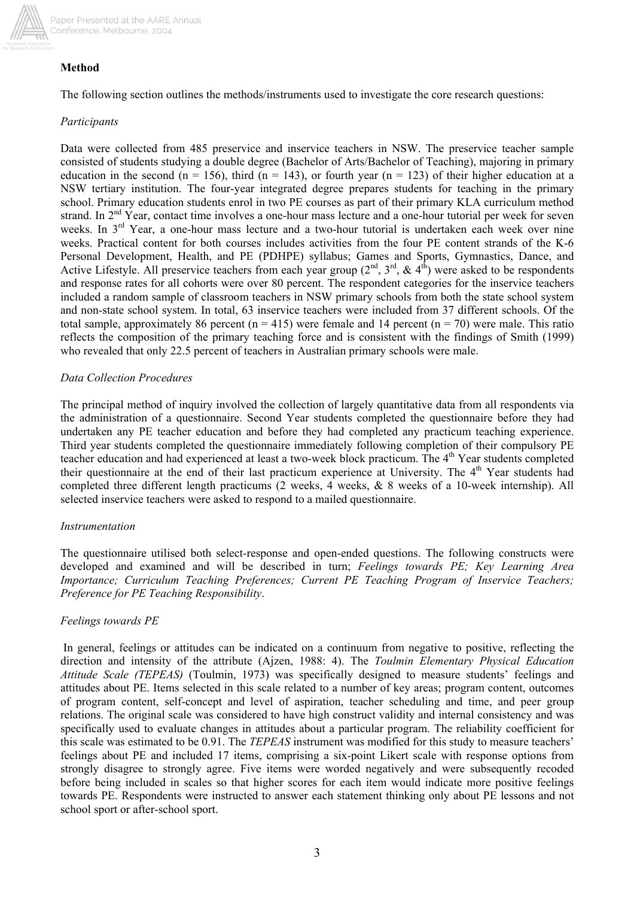

## **Method**

The following section outlines the methods/instruments used to investigate the core research questions:

## *Participants*

Data were collected from 485 preservice and inservice teachers in NSW. The preservice teacher sample consisted of students studying a double degree (Bachelor of Arts/Bachelor of Teaching), majoring in primary education in the second (n = 156), third (n = 143), or fourth year (n = 123) of their higher education at a NSW tertiary institution. The four-year integrated degree prepares students for teaching in the primary school. Primary education students enrol in two PE courses as part of their primary KLA curriculum method strand. In 2<sup>nd</sup> Year, contact time involves a one-hour mass lecture and a one-hour tutorial per week for seven weeks. In 3<sup>rd</sup> Year, a one-hour mass lecture and a two-hour tutorial is undertaken each week over nine weeks. Practical content for both courses includes activities from the four PE content strands of the K-6 Personal Development, Health, and PE (PDHPE) syllabus; Games and Sports, Gymnastics, Dance, and Active Lifestyle. All preservice teachers from each year group  $(2<sup>nd</sup>, 3<sup>rd</sup>, & 4<sup>th</sup>)$  were asked to be respondents and response rates for all cohorts were over 80 percent. The respondent categories for the inservice teachers included a random sample of classroom teachers in NSW primary schools from both the state school system and non-state school system. In total, 63 inservice teachers were included from 37 different schools. Of the total sample, approximately 86 percent ( $n = 415$ ) were female and 14 percent ( $n = 70$ ) were male. This ratio reflects the composition of the primary teaching force and is consistent with the findings of Smith (1999) who revealed that only 22.5 percent of teachers in Australian primary schools were male.

## *Data Collection Procedures*

The principal method of inquiry involved the collection of largely quantitative data from all respondents via the administration of a questionnaire. Second Year students completed the questionnaire before they had undertaken any PE teacher education and before they had completed any practicum teaching experience. Third year students completed the questionnaire immediately following completion of their compulsory PE teacher education and had experienced at least a two-week block practicum. The 4<sup>th</sup> Year students completed their questionnaire at the end of their last practicum experience at University. The 4<sup>th</sup> Year students had completed three different length practicums (2 weeks, 4 weeks, & 8 weeks of a 10-week internship). All selected inservice teachers were asked to respond to a mailed questionnaire.

### *Instrumentation*

The questionnaire utilised both select-response and open-ended questions. The following constructs were developed and examined and will be described in turn; *Feelings towards PE; Key Learning Area Importance; Curriculum Teaching Preferences; Current PE Teaching Program of Inservice Teachers; Preference for PE Teaching Responsibility*.

## *Feelings towards PE*

In general, feelings or attitudes can be indicated on a continuum from negative to positive, reflecting the direction and intensity of the attribute (Ajzen, 1988: 4). The *Toulmin Elementary Physical Education Attitude Scale (TEPEAS)* (Toulmin, 1973) was specifically designed to measure students' feelings and attitudes about PE. Items selected in this scale related to a number of key areas; program content, outcomes of program content, self-concept and level of aspiration, teacher scheduling and time, and peer group relations. The original scale was considered to have high construct validity and internal consistency and was specifically used to evaluate changes in attitudes about a particular program. The reliability coefficient for this scale was estimated to be 0.91. The *TEPEAS* instrument was modified for this study to measure teachers' feelings about PE and included 17 items, comprising a six-point Likert scale with response options from strongly disagree to strongly agree. Five items were worded negatively and were subsequently recoded before being included in scales so that higher scores for each item would indicate more positive feelings towards PE. Respondents were instructed to answer each statement thinking only about PE lessons and not school sport or after-school sport.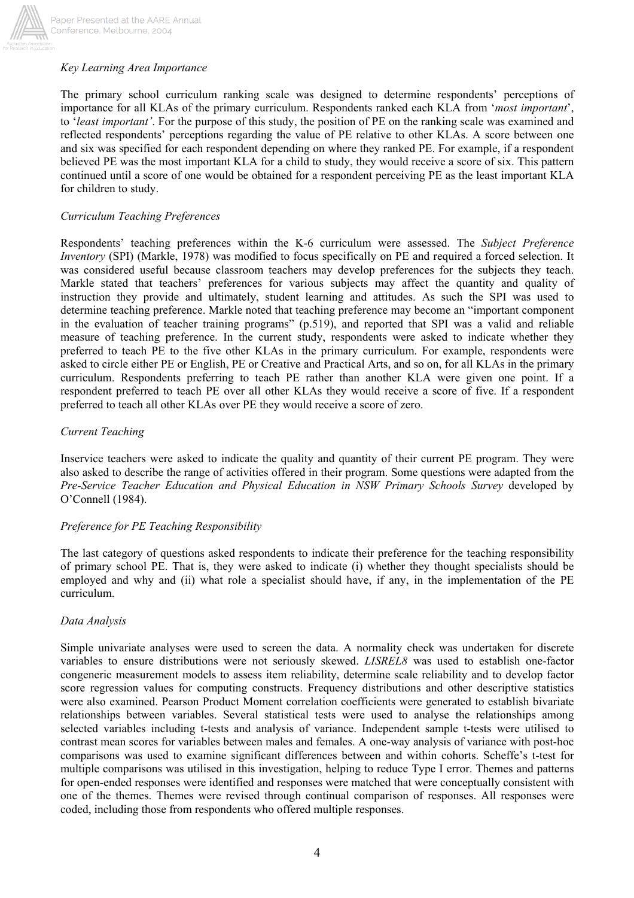

## *Key Learning Area Importance*

The primary school curriculum ranking scale was designed to determine respondents' perceptions of importance for all KLAs of the primary curriculum. Respondents ranked each KLA from '*most important*', to '*least important'*. For the purpose of this study, the position of PE on the ranking scale was examined and reflected respondents' perceptions regarding the value of PE relative to other KLAs. A score between one and six was specified for each respondent depending on where they ranked PE. For example, if a respondent believed PE was the most important KLA for a child to study, they would receive a score of six. This pattern continued until a score of one would be obtained for a respondent perceiving PE as the least important KLA for children to study.

### *Curriculum Teaching Preferences*

Respondents' teaching preferences within the K-6 curriculum were assessed. The *Subject Preference Inventory* (SPI) (Markle, 1978) was modified to focus specifically on PE and required a forced selection. It was considered useful because classroom teachers may develop preferences for the subjects they teach. Markle stated that teachers' preferences for various subjects may affect the quantity and quality of instruction they provide and ultimately, student learning and attitudes. As such the SPI was used to determine teaching preference. Markle noted that teaching preference may become an "important component in the evaluation of teacher training programs" (p.519), and reported that SPI was a valid and reliable measure of teaching preference. In the current study, respondents were asked to indicate whether they preferred to teach PE to the five other KLAs in the primary curriculum. For example, respondents were asked to circle either PE or English, PE or Creative and Practical Arts, and so on, for all KLAs in the primary curriculum. Respondents preferring to teach PE rather than another KLA were given one point. If a respondent preferred to teach PE over all other KLAs they would receive a score of five. If a respondent preferred to teach all other KLAs over PE they would receive a score of zero.

### *Current Teaching*

Inservice teachers were asked to indicate the quality and quantity of their current PE program. They were also asked to describe the range of activities offered in their program. Some questions were adapted from the *Pre-Service Teacher Education and Physical Education in NSW Primary Schools Survey* developed by O'Connell (1984).

### *Preference for PE Teaching Responsibility*

The last category of questions asked respondents to indicate their preference for the teaching responsibility of primary school PE. That is, they were asked to indicate (i) whether they thought specialists should be employed and why and (ii) what role a specialist should have, if any, in the implementation of the PE curriculum.

### *Data Analysis*

Simple univariate analyses were used to screen the data. A normality check was undertaken for discrete variables to ensure distributions were not seriously skewed. *LISREL8* was used to establish one-factor congeneric measurement models to assess item reliability, determine scale reliability and to develop factor score regression values for computing constructs. Frequency distributions and other descriptive statistics were also examined. Pearson Product Moment correlation coefficients were generated to establish bivariate relationships between variables. Several statistical tests were used to analyse the relationships among selected variables including t-tests and analysis of variance. Independent sample t-tests were utilised to contrast mean scores for variables between males and females. A one-way analysis of variance with post-hoc comparisons was used to examine significant differences between and within cohorts. Scheffe's t-test for multiple comparisons was utilised in this investigation, helping to reduce Type I error. Themes and patterns for open-ended responses were identified and responses were matched that were conceptually consistent with one of the themes. Themes were revised through continual comparison of responses. All responses were coded, including those from respondents who offered multiple responses.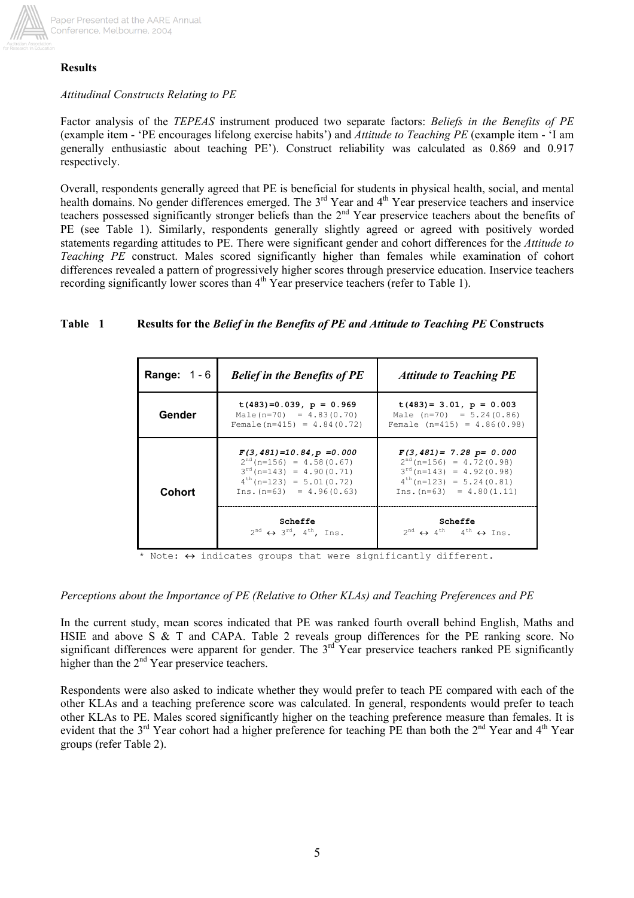

### **Results**

## *Attitudinal Constructs Relating to PE*

Factor analysis of the *TEPEAS* instrument produced two separate factors: *Beliefs in the Benefits of PE* (example item - 'PE encourages lifelong exercise habits') and *Attitude to Teaching PE* (example item - 'I am generally enthusiastic about teaching PE'). Construct reliability was calculated as 0.869 and 0.917 respectively.

Overall, respondents generally agreed that PE is beneficial for students in physical health, social, and mental health domains. No gender differences emerged. The 3<sup>rd</sup> Year and 4<sup>th</sup> Year preservice teachers and inservice teachers possessed significantly stronger beliefs than the 2<sup>nd</sup> Year preservice teachers about the benefits of PE (see Table 1). Similarly, respondents generally slightly agreed or agreed with positively worded statements regarding attitudes to PE. There were significant gender and cohort differences for the *Attitude to Teaching PE* construct. Males scored significantly higher than females while examination of cohort differences revealed a pattern of progressively higher scores through preservice education. Inservice teachers recording significantly lower scores than 4<sup>th</sup> Year preservice teachers (refer to Table 1).

## **Table 1 Results for the** *Belief in the Benefits of PE and Attitude to Teaching PE* **Constructs**

| <b>Range:</b> $1 - 6$ | <b>Belief in the Benefits of PE</b>                                                                                                                          | <b>Attitude to Teaching PE</b>                                                                                                                               |  |  |  |
|-----------------------|--------------------------------------------------------------------------------------------------------------------------------------------------------------|--------------------------------------------------------------------------------------------------------------------------------------------------------------|--|--|--|
| Gender                | $t(483)=0.039$ , $p = 0.969$<br>Male(n=70) = $4.83(0.70)$<br>Female $(n=415) = 4.84(0.72)$                                                                   | $t(483) = 3.01$ , $p = 0.003$<br>Male $(n=70) = 5.24(0.86)$<br>Female $(n=415) = 4.86(0.98)$                                                                 |  |  |  |
| <b>Cohort</b>         | $F(3, 481) = 10.84, p = 0.000$<br>$2nd$ (n=156) = 4.58(0.67)<br>$3^{rd}$ (n=143) = 4.90(0.71)<br>$4^{th}$ (n=123) = 5.01(0.72)<br>$Ins. (n=63) = 4.96(0.63)$ | $F(3,481) = 7.28$ p= 0.000<br>$2^{nd}$ (n=156) = 4.72(0.98)<br>$3^{rd}$ (n=143) = 4.92(0.98)<br>$4^{th}$ (n=123) = 5.24 (0.81)<br>$Ins. (n=63) = 4.80(1.11)$ |  |  |  |
|                       | Scheffe<br>$2^{nd} \leftrightarrow 3^{rd}$ , 4 <sup>th</sup> , Ins.                                                                                          | Scheffe<br>$2^{nd} \leftrightarrow 4^{th}$ 4 <sup>th</sup> $\leftrightarrow$ Ins.                                                                            |  |  |  |

\* Note:  $\leftrightarrow$  indicates groups that were significantly different.

*Perceptions about the Importance of PE (Relative to Other KLAs) and Teaching Preferences and PE* 

In the current study, mean scores indicated that PE was ranked fourth overall behind English, Maths and HSIE and above S & T and CAPA. Table 2 reveals group differences for the PE ranking score. No significant differences were apparent for gender. The  $3<sup>rd</sup>$  Year preservice teachers ranked PE significantly higher than the 2<sup>nd</sup> Year preservice teachers.

Respondents were also asked to indicate whether they would prefer to teach PE compared with each of the other KLAs and a teaching preference score was calculated. In general, respondents would prefer to teach other KLAs to PE. Males scored significantly higher on the teaching preference measure than females. It is evident that the 3<sup>rd</sup> Year cohort had a higher preference for teaching PE than both the 2<sup>nd</sup> Year and 4<sup>th</sup> Year groups (refer Table 2).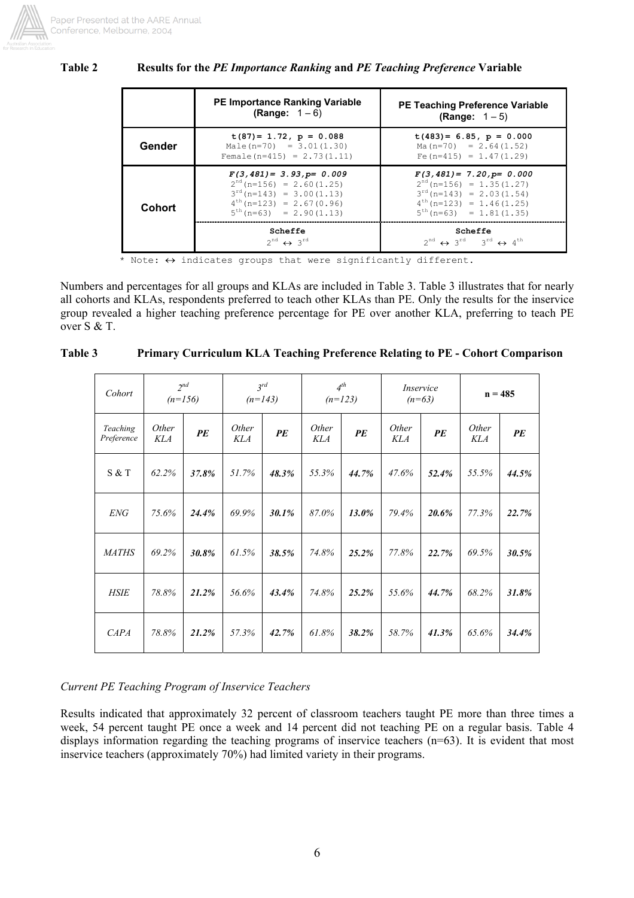

## **Table 2 Results for the** *PE Importance Ranking* **and** *PE Teaching Preference* **Variable**

|        | <b>PE Importance Ranking Variable</b><br><b>(Range:</b> $1 - 6$ )                                                                                                   | <b>PE Teaching Preference Variable</b><br><b>(Range:</b> $1 - 5$ )                                                                                                 |
|--------|---------------------------------------------------------------------------------------------------------------------------------------------------------------------|--------------------------------------------------------------------------------------------------------------------------------------------------------------------|
| Gender | $t(87) = 1.72$ , $p = 0.088$<br>Male $(n=70) = 3.01(1.30)$<br>Female $(n=415) = 2.73(1.11)$                                                                         | $t(483) = 6.85$ , $p = 0.000$<br>$Ma(n=70) = 2.64(1.52)$<br>Fe $(n=415) = 1.47(1.29)$                                                                              |
| Cohort | $F(3, 481) = 3.93$ , $p = 0.009$<br>$2^{nd}$ (n=156) = 2.60(1.25)<br>$3^{rd}$ (n=143) = 3.00 (1.13)<br>$4^{th}$ (n=123) = 2.67(0.96)<br>$5^{th}(n=63) = 2.90(1.13)$ | $F(3,481) = 7.20$ , $p = 0.000$<br>$2^{nd}$ (n=156) = 1.35(1.27)<br>$3^{rd}$ (n=143) = 2.03(1.54)<br>$4^{th}$ (n=123) = 1.46(1.25)<br>$5^{th}$ (n=63) = 1.81(1.35) |
|        | Scheffe<br>$2^{nd} \leftrightarrow 3^{rd}$                                                                                                                          | Scheffe<br>$2^{nd} \leftrightarrow 3^{rd} 3^{rd} \leftrightarrow 4^{th}$                                                                                           |

\* Note:  $\leftrightarrow$  indicates groups that were significantly different.

Numbers and percentages for all groups and KLAs are included in Table 3. Table 3 illustrates that for nearly all cohorts and KLAs, respondents preferred to teach other KLAs than PE. Only the results for the inservice group revealed a higher teaching preference percentage for PE over another KLA, preferring to teach PE over S & T.

| Cohort                 | $2^{nd}$<br>$(n=156)$ |       | $3^{rd}$<br>$(n=143)$ |       | $4^{th}$<br>$(n=123)$ |       | Inservice<br>$(n=63)$ |       | $n = 485$           |       |
|------------------------|-----------------------|-------|-----------------------|-------|-----------------------|-------|-----------------------|-------|---------------------|-------|
| Teaching<br>Preference | Other<br>KLA          | PE    | Other<br><b>KLA</b>   | PE    | Other<br><b>KLA</b>   | PE    | Other<br>KLA          | PE    | Other<br><b>KLA</b> | PE    |
| S & T                  | 62.2%                 | 37.8% | 51.7%                 | 48.3% | 55.3%                 | 44.7% | 47.6%                 | 52.4% | 55.5%               | 44.5% |
| <b>ENG</b>             | 75.6%                 | 24.4% | 69.9%                 | 30.1% | 87.0%                 | 13.0% | 79.4%                 | 20.6% | 77.3%               | 22.7% |
| <b>MATHS</b>           | 69.2%                 | 30.8% | 61.5%                 | 38.5% | 74.8%                 | 25.2% | 77.8%                 | 22.7% | 69.5%               | 30.5% |
| <b>HSIE</b>            | 78.8%                 | 21.2% | 56.6%                 | 43.4% | 74.8%                 | 25.2% | 55.6%                 | 44.7% | 68.2%               | 31.8% |
| CAPA                   | 78.8%                 | 21.2% | 57.3%                 | 42.7% | 61.8%                 | 38.2% | 58.7%                 | 41.3% | 65.6%               | 34.4% |

| Table 3 | <b>Primary Curriculum KLA Teaching Preference Relating to PE - Cohort Comparison</b> |  |
|---------|--------------------------------------------------------------------------------------|--|
|         |                                                                                      |  |

# *Current PE Teaching Program of Inservice Teachers*

Results indicated that approximately 32 percent of classroom teachers taught PE more than three times a week, 54 percent taught PE once a week and 14 percent did not teaching PE on a regular basis. Table 4 displays information regarding the teaching programs of inservice teachers (n=63). It is evident that most inservice teachers (approximately 70%) had limited variety in their programs.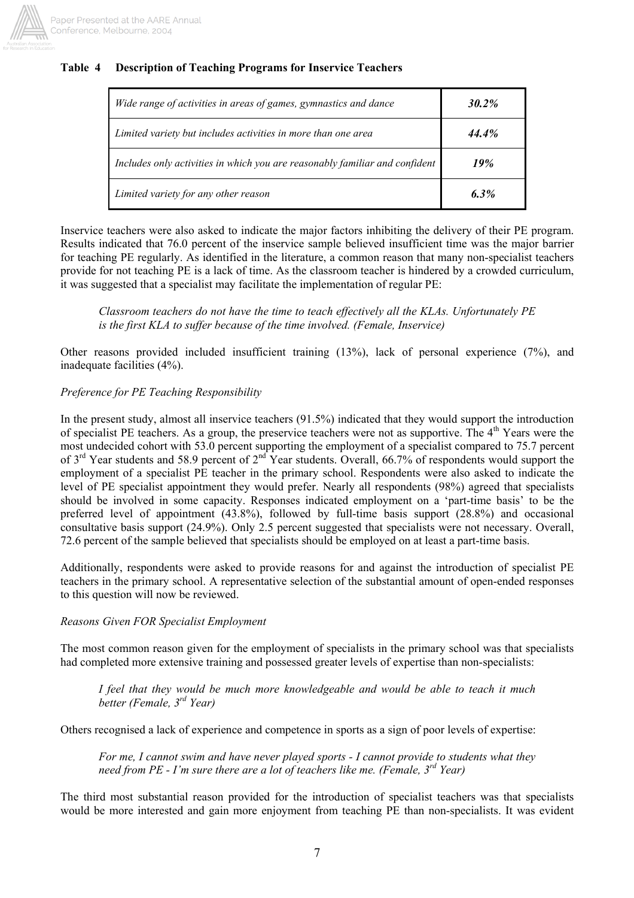

## **Table 4 Description of Teaching Programs for Inservice Teachers**

| Wide range of activities in areas of games, gymnastics and dance            | $30.2\%$ |
|-----------------------------------------------------------------------------|----------|
| Limited variety but includes activities in more than one area               | 44.4%    |
| Includes only activities in which you are reasonably familiar and confident | 19%      |
| Limited variety for any other reason                                        | 6.3%     |

Inservice teachers were also asked to indicate the major factors inhibiting the delivery of their PE program. Results indicated that 76.0 percent of the inservice sample believed insufficient time was the major barrier for teaching PE regularly. As identified in the literature, a common reason that many non-specialist teachers provide for not teaching PE is a lack of time. As the classroom teacher is hindered by a crowded curriculum, it was suggested that a specialist may facilitate the implementation of regular PE:

*Classroom teachers do not have the time to teach effectively all the KLAs. Unfortunately PE is the first KLA to suffer because of the time involved. (Female, Inservice)* 

Other reasons provided included insufficient training (13%), lack of personal experience (7%), and inadequate facilities (4%).

## *Preference for PE Teaching Responsibility*

In the present study, almost all inservice teachers (91.5%) indicated that they would support the introduction of specialist PE teachers. As a group, the preservice teachers were not as supportive. The 4<sup>th</sup> Years were the most undecided cohort with 53.0 percent supporting the employment of a specialist compared to 75.7 percent of 3<sup>rd</sup> Year students and 58.9 percent of 2<sup>nd</sup> Year students. Overall, 66.7% of respondents would support the employment of a specialist PE teacher in the primary school. Respondents were also asked to indicate the level of PE specialist appointment they would prefer. Nearly all respondents (98%) agreed that specialists should be involved in some capacity. Responses indicated employment on a 'part-time basis' to be the preferred level of appointment (43.8%), followed by full-time basis support (28.8%) and occasional consultative basis support (24.9%). Only 2.5 percent suggested that specialists were not necessary. Overall, 72.6 percent of the sample believed that specialists should be employed on at least a part-time basis.

Additionally, respondents were asked to provide reasons for and against the introduction of specialist PE teachers in the primary school. A representative selection of the substantial amount of open-ended responses to this question will now be reviewed.

### *Reasons Given FOR Specialist Employment*

The most common reason given for the employment of specialists in the primary school was that specialists had completed more extensive training and possessed greater levels of expertise than non-specialists:

*I feel that they would be much more knowledgeable and would be able to teach it much better (Female, 3rd Year)* 

Others recognised a lack of experience and competence in sports as a sign of poor levels of expertise:

*For me, I cannot swim and have never played sports - I cannot provide to students what they need from PE - I'm sure there are a lot of teachers like me. (Female, 3rd Year)* 

The third most substantial reason provided for the introduction of specialist teachers was that specialists would be more interested and gain more enjoyment from teaching PE than non-specialists. It was evident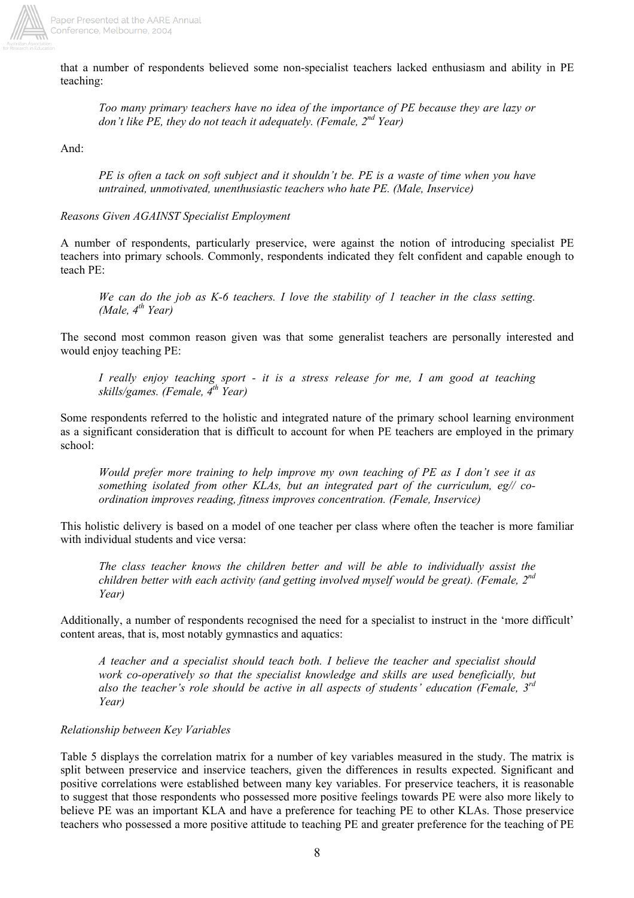

that a number of respondents believed some non-specialist teachers lacked enthusiasm and ability in PE teaching:

*Too many primary teachers have no idea of the importance of PE because they are lazy or don't like PE, they do not teach it adequately. (Female, 2nd Year)* 

And:

*PE is often a tack on soft subject and it shouldn't be. PE is a waste of time when you have untrained, unmotivated, unenthusiastic teachers who hate PE. (Male, Inservice)*

*Reasons Given AGAINST Specialist Employment* 

A number of respondents, particularly preservice, were against the notion of introducing specialist PE teachers into primary schools. Commonly, respondents indicated they felt confident and capable enough to teach PE:

*We can do the job as K-6 teachers. I love the stability of 1 teacher in the class setting. (Male, 4th Year)* 

The second most common reason given was that some generalist teachers are personally interested and would enjoy teaching PE:

*I really enjoy teaching sport - it is a stress release for me, I am good at teaching skills/games. (Female, 4th Year)* 

Some respondents referred to the holistic and integrated nature of the primary school learning environment as a significant consideration that is difficult to account for when PE teachers are employed in the primary school:

*Would prefer more training to help improve my own teaching of PE as I don't see it as something isolated from other KLAs, but an integrated part of the curriculum, eg// coordination improves reading, fitness improves concentration. (Female, Inservice)*

This holistic delivery is based on a model of one teacher per class where often the teacher is more familiar with individual students and vice versa:

*The class teacher knows the children better and will be able to individually assist the children better with each activity (and getting involved myself would be great). (Female, 2nd Year)* 

Additionally, a number of respondents recognised the need for a specialist to instruct in the 'more difficult' content areas, that is, most notably gymnastics and aquatics:

*A teacher and a specialist should teach both. I believe the teacher and specialist should work co-operatively so that the specialist knowledge and skills are used beneficially, but also the teacher's role should be active in all aspects of students' education (Female, 3rd Year)* 

## *Relationship between Key Variables*

Table 5 displays the correlation matrix for a number of key variables measured in the study. The matrix is split between preservice and inservice teachers, given the differences in results expected. Significant and positive correlations were established between many key variables. For preservice teachers, it is reasonable to suggest that those respondents who possessed more positive feelings towards PE were also more likely to believe PE was an important KLA and have a preference for teaching PE to other KLAs. Those preservice teachers who possessed a more positive attitude to teaching PE and greater preference for the teaching of PE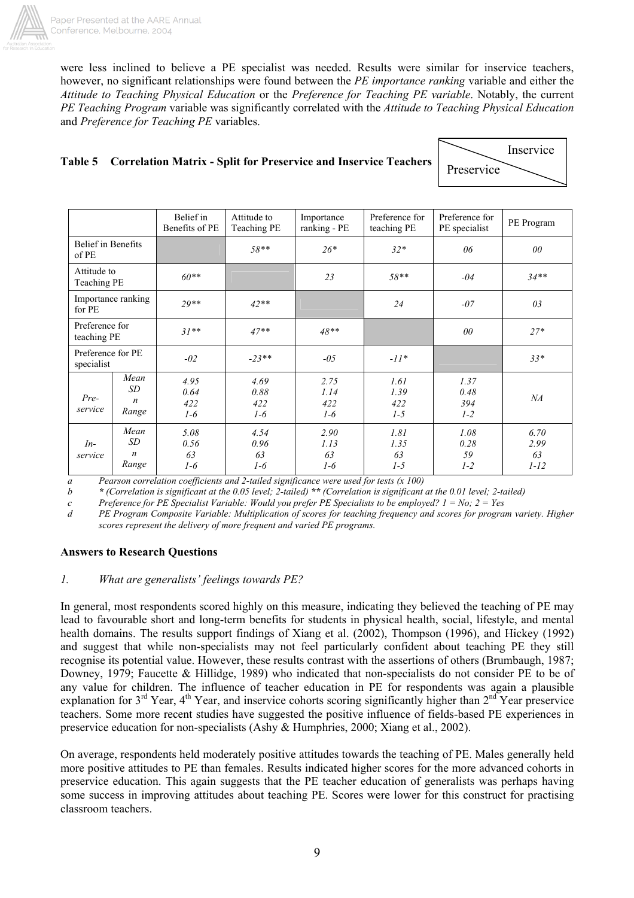

were less inclined to believe a PE specialist was needed. Results were similar for inservice teachers, however, no significant relationships were found between the *PE importance ranking* variable and either the *Attitude to Teaching Physical Education* or the *Preference for Teaching PE variable*. Notably, the current *PE Teaching Program* variable was significantly correlated with the *Attitude to Teaching Physical Education* and *Preference for Teaching PE* variables.

# **Table 5 Correlation Matrix - Split for Preservice and Inservice Teachers**

|            | Inservice |
|------------|-----------|
| Preservice |           |

|                                 |                                          | Belief in<br>Benefits of PE  | Attitude to<br>Teaching PE   | Importance<br>ranking - PE   | Preference for<br>teaching PE | Preference for<br>PE specialist | PE Program                     |
|---------------------------------|------------------------------------------|------------------------------|------------------------------|------------------------------|-------------------------------|---------------------------------|--------------------------------|
| Belief in Benefits<br>of PE     |                                          |                              | $58**$                       | $26*$                        | $32*$                         | 06                              | $00\,$                         |
| Attitude to<br>Teaching PE      |                                          | $60**$                       |                              | 23                           | $58**$                        | $-04$                           | $34**$                         |
| for PE                          | Importance ranking                       | $29**$                       | $42**$                       |                              | 24                            | $-07$                           | 03                             |
| Preference for<br>teaching PE   |                                          | $31**$                       | $47**$                       | $48**$                       |                               | 00                              | $27*$                          |
| Preference for PE<br>specialist |                                          | $-02$                        | $-23**$                      | $-0.5$                       | $-11*$                        |                                 | $33*$                          |
| Pre-<br>service                 | Mean<br>SD.<br>$\boldsymbol{n}$<br>Range | 4.95<br>0.64<br>422<br>$1-6$ | 4.69<br>0.88<br>422<br>$1-6$ | 2.75<br>1.14<br>422<br>$1-6$ | 1.61<br>1.39<br>422<br>$1-5$  | 1.37<br>0.48<br>394<br>$1 - 2$  | NA                             |
| $In-$<br>service                | Mean<br>SD<br>$\boldsymbol{n}$<br>Range  | 5.08<br>0.56<br>63<br>$1-6$  | 4.54<br>0.96<br>63<br>$1-6$  | 2.90<br>1.13<br>63<br>$1-6$  | 1.81<br>1.35<br>63<br>$1-5$   | 1.08<br>0.28<br>59<br>$1 - 2$   | 6.70<br>2.99<br>63<br>$1 - 12$ |

 *a Pearson correlation coefficients and 2-tailed significance were used for tests (x 100)*

 *b \* (Correlation is significant at the 0.05 level; 2-tailed) \*\* (Correlation is significant at the 0.01 level; 2-tailed)*

 *c Preference for PE Specialist Variable: Would you prefer PE Specialists to be employed? 1 = No; 2 = Yes* 

*d PE Program Composite Variable: Multiplication of scores for teaching frequency and scores for program variety. Higher scores represent the delivery of more frequent and varied PE programs.* 

### **Answers to Research Questions**

### *1. What are generalists' feelings towards PE?*

In general, most respondents scored highly on this measure, indicating they believed the teaching of PE may lead to favourable short and long-term benefits for students in physical health, social, lifestyle, and mental health domains. The results support findings of Xiang et al. (2002), Thompson (1996), and Hickey (1992) and suggest that while non-specialists may not feel particularly confident about teaching PE they still recognise its potential value. However, these results contrast with the assertions of others (Brumbaugh, 1987; Downey, 1979; Faucette & Hillidge, 1989) who indicated that non-specialists do not consider PE to be of any value for children. The influence of teacher education in PE for respondents was again a plausible explanation for  $3^{rd}$  Year,  $4^{th}$  Year, and inservice cohorts scoring significantly higher than  $2^{nd}$  Year preservice teachers. Some more recent studies have suggested the positive influence of fields-based PE experiences in preservice education for non-specialists (Ashy & Humphries, 2000; Xiang et al., 2002).

On average, respondents held moderately positive attitudes towards the teaching of PE. Males generally held more positive attitudes to PE than females. Results indicated higher scores for the more advanced cohorts in preservice education. This again suggests that the PE teacher education of generalists was perhaps having some success in improving attitudes about teaching PE. Scores were lower for this construct for practising classroom teachers.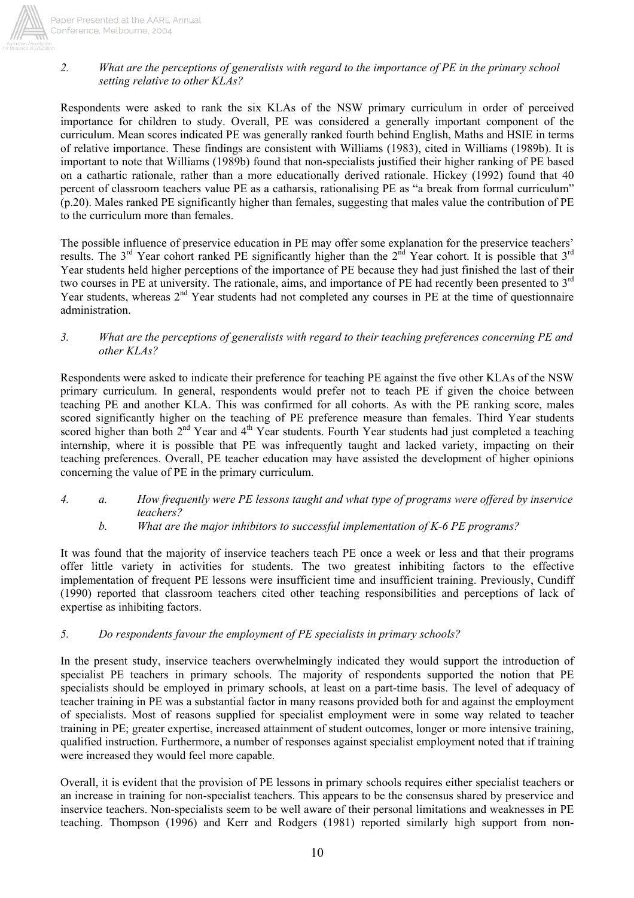

## Paper Presented at the AARE Annual Conference, Melbourne, 2004

# *2. What are the perceptions of generalists with regard to the importance of PE in the primary school setting relative to other KLAs?*

Respondents were asked to rank the six KLAs of the NSW primary curriculum in order of perceived importance for children to study. Overall, PE was considered a generally important component of the curriculum. Mean scores indicated PE was generally ranked fourth behind English, Maths and HSIE in terms of relative importance. These findings are consistent with Williams (1983), cited in Williams (1989b). It is important to note that Williams (1989b) found that non-specialists justified their higher ranking of PE based on a cathartic rationale, rather than a more educationally derived rationale. Hickey (1992) found that 40 percent of classroom teachers value PE as a catharsis, rationalising PE as "a break from formal curriculum" (p.20). Males ranked PE significantly higher than females, suggesting that males value the contribution of PE to the curriculum more than females.

The possible influence of preservice education in PE may offer some explanation for the preservice teachers' results. The 3<sup>rd</sup> Year cohort ranked PE significantly higher than the  $2^{\text{nd}}$  Year cohort. It is possible that 3<sup>rd</sup> Year students held higher perceptions of the importance of PE because they had just finished the last of their two courses in PE at university. The rationale, aims, and importance of PE had recently been presented to 3<sup>rd</sup> Year students, whereas 2<sup>nd</sup> Year students had not completed any courses in PE at the time of questionnaire administration.

### *3. What are the perceptions of generalists with regard to their teaching preferences concerning PE and other KLAs?*

Respondents were asked to indicate their preference for teaching PE against the five other KLAs of the NSW primary curriculum. In general, respondents would prefer not to teach PE if given the choice between teaching PE and another KLA. This was confirmed for all cohorts. As with the PE ranking score, males scored significantly higher on the teaching of PE preference measure than females. Third Year students scored higher than both  $2<sup>nd</sup>$  Year and  $4<sup>th</sup>$  Year students. Fourth Year students had just completed a teaching internship, where it is possible that PE was infrequently taught and lacked variety, impacting on their teaching preferences. Overall, PE teacher education may have assisted the development of higher opinions concerning the value of PE in the primary curriculum.

- *4. a. How frequently were PE lessons taught and what type of programs were offered by inservice teachers?* 
	- *b. What are the major inhibitors to successful implementation of K-6 PE programs?*

It was found that the majority of inservice teachers teach PE once a week or less and that their programs offer little variety in activities for students. The two greatest inhibiting factors to the effective implementation of frequent PE lessons were insufficient time and insufficient training. Previously, Cundiff (1990) reported that classroom teachers cited other teaching responsibilities and perceptions of lack of expertise as inhibiting factors.

# *5. Do respondents favour the employment of PE specialists in primary schools?*

In the present study, inservice teachers overwhelmingly indicated they would support the introduction of specialist PE teachers in primary schools. The majority of respondents supported the notion that PE specialists should be employed in primary schools, at least on a part-time basis. The level of adequacy of teacher training in PE was a substantial factor in many reasons provided both for and against the employment of specialists. Most of reasons supplied for specialist employment were in some way related to teacher training in PE; greater expertise, increased attainment of student outcomes, longer or more intensive training, qualified instruction. Furthermore, a number of responses against specialist employment noted that if training were increased they would feel more capable.

Overall, it is evident that the provision of PE lessons in primary schools requires either specialist teachers or an increase in training for non-specialist teachers. This appears to be the consensus shared by preservice and inservice teachers. Non-specialists seem to be well aware of their personal limitations and weaknesses in PE teaching. Thompson (1996) and Kerr and Rodgers (1981) reported similarly high support from non-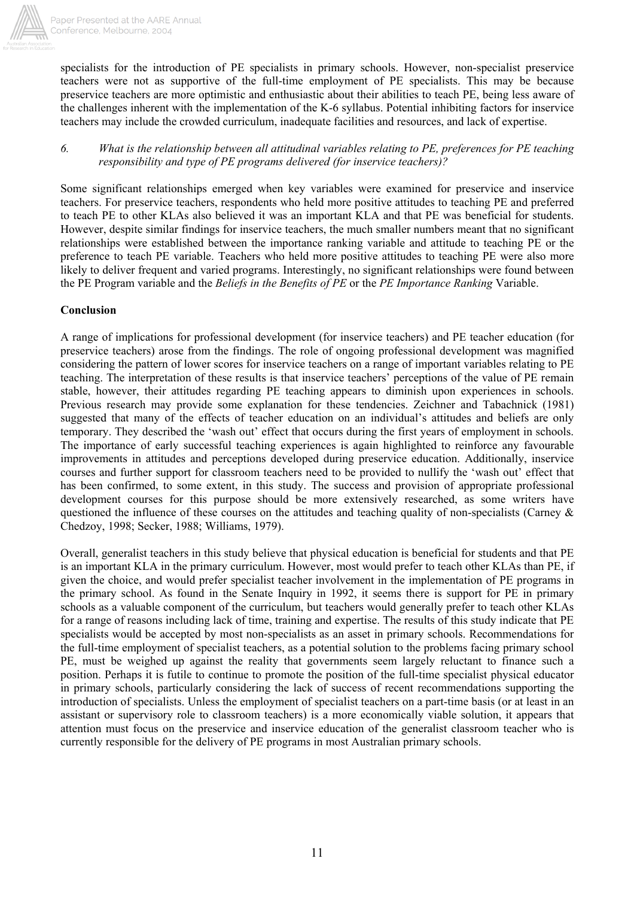

specialists for the introduction of PE specialists in primary schools. However, non-specialist preservice teachers were not as supportive of the full-time employment of PE specialists. This may be because preservice teachers are more optimistic and enthusiastic about their abilities to teach PE, being less aware of the challenges inherent with the implementation of the K-6 syllabus. Potential inhibiting factors for inservice teachers may include the crowded curriculum, inadequate facilities and resources, and lack of expertise.

### *6. What is the relationship between all attitudinal variables relating to PE, preferences for PE teaching responsibility and type of PE programs delivered (for inservice teachers)?*

Some significant relationships emerged when key variables were examined for preservice and inservice teachers. For preservice teachers, respondents who held more positive attitudes to teaching PE and preferred to teach PE to other KLAs also believed it was an important KLA and that PE was beneficial for students. However, despite similar findings for inservice teachers, the much smaller numbers meant that no significant relationships were established between the importance ranking variable and attitude to teaching PE or the preference to teach PE variable. Teachers who held more positive attitudes to teaching PE were also more likely to deliver frequent and varied programs. Interestingly, no significant relationships were found between the PE Program variable and the *Beliefs in the Benefits of PE* or the *PE Importance Ranking* Variable.

## **Conclusion**

A range of implications for professional development (for inservice teachers) and PE teacher education (for preservice teachers) arose from the findings. The role of ongoing professional development was magnified considering the pattern of lower scores for inservice teachers on a range of important variables relating to PE teaching. The interpretation of these results is that inservice teachers' perceptions of the value of PE remain stable, however, their attitudes regarding PE teaching appears to diminish upon experiences in schools. Previous research may provide some explanation for these tendencies. Zeichner and Tabachnick (1981) suggested that many of the effects of teacher education on an individual's attitudes and beliefs are only temporary. They described the 'wash out' effect that occurs during the first years of employment in schools. The importance of early successful teaching experiences is again highlighted to reinforce any favourable improvements in attitudes and perceptions developed during preservice education. Additionally, inservice courses and further support for classroom teachers need to be provided to nullify the 'wash out' effect that has been confirmed, to some extent, in this study. The success and provision of appropriate professional development courses for this purpose should be more extensively researched, as some writers have questioned the influence of these courses on the attitudes and teaching quality of non-specialists (Carney & Chedzoy, 1998; Secker, 1988; Williams, 1979).

Overall, generalist teachers in this study believe that physical education is beneficial for students and that PE is an important KLA in the primary curriculum. However, most would prefer to teach other KLAs than PE, if given the choice, and would prefer specialist teacher involvement in the implementation of PE programs in the primary school. As found in the Senate Inquiry in 1992, it seems there is support for PE in primary schools as a valuable component of the curriculum, but teachers would generally prefer to teach other KLAs for a range of reasons including lack of time, training and expertise. The results of this study indicate that PE specialists would be accepted by most non-specialists as an asset in primary schools. Recommendations for the full-time employment of specialist teachers, as a potential solution to the problems facing primary school PE, must be weighed up against the reality that governments seem largely reluctant to finance such a position. Perhaps it is futile to continue to promote the position of the full-time specialist physical educator in primary schools, particularly considering the lack of success of recent recommendations supporting the introduction of specialists. Unless the employment of specialist teachers on a part-time basis (or at least in an assistant or supervisory role to classroom teachers) is a more economically viable solution, it appears that attention must focus on the preservice and inservice education of the generalist classroom teacher who is currently responsible for the delivery of PE programs in most Australian primary schools.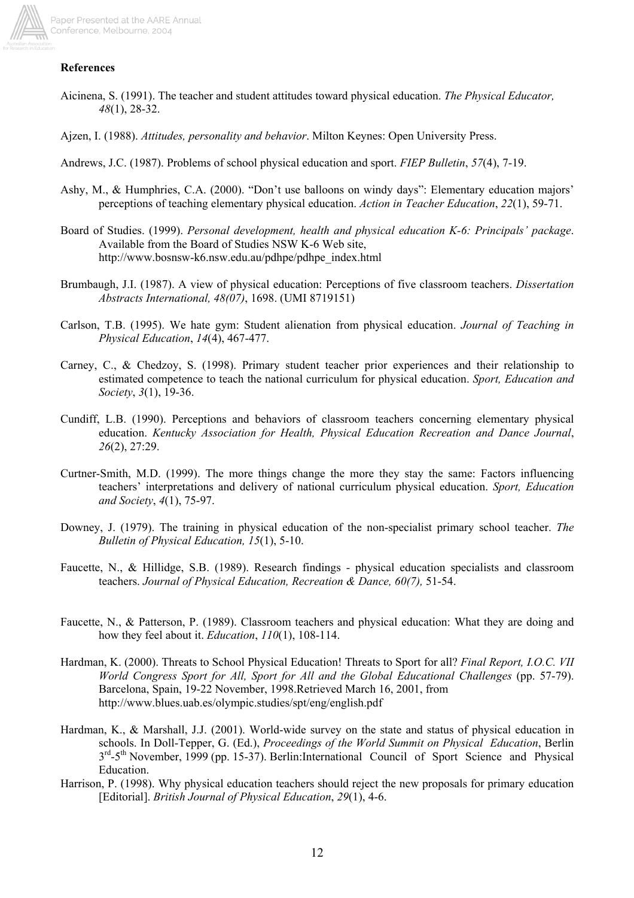

## **References**

- Aicinena, S. (1991). The teacher and student attitudes toward physical education. *The Physical Educator, 48*(1), 28-32.
- Ajzen, I. (1988). *Attitudes, personality and behavior*. Milton Keynes: Open University Press.
- Andrews, J.C. (1987). Problems of school physical education and sport. *FIEP Bulletin*, *57*(4), 7-19.
- Ashy, M., & Humphries, C.A. (2000). "Don't use balloons on windy days": Elementary education majors' perceptions of teaching elementary physical education. *Action in Teacher Education*, *22*(1), 59-71.
- Board of Studies. (1999). *Personal development, health and physical education K-6: Principals' package*. Available from the Board of Studies NSW K-6 Web site, http://www.bosnsw-k6.nsw.edu.au/pdhpe/pdhpe\_index.html
- Brumbaugh, J.I. (1987). A view of physical education: Perceptions of five classroom teachers. *Dissertation Abstracts International, 48(07)*, 1698. (UMI 8719151)
- Carlson, T.B. (1995). We hate gym: Student alienation from physical education. *Journal of Teaching in Physical Education*, *14*(4), 467-477.
- Carney, C., & Chedzoy, S. (1998). Primary student teacher prior experiences and their relationship to estimated competence to teach the national curriculum for physical education. *Sport, Education and Society*, *3*(1), 19-36.
- Cundiff, L.B. (1990). Perceptions and behaviors of classroom teachers concerning elementary physical education. *Kentucky Association for Health, Physical Education Recreation and Dance Journal*, *26*(2), 27:29.
- Curtner-Smith, M.D. (1999). The more things change the more they stay the same: Factors influencing teachers' interpretations and delivery of national curriculum physical education. *Sport, Education and Society*, *4*(1), 75-97.
- Downey, J. (1979). The training in physical education of the non-specialist primary school teacher. *The Bulletin of Physical Education, 15*(1), 5-10.
- Faucette, N., & Hillidge, S.B. (1989). Research findings physical education specialists and classroom teachers. *Journal of Physical Education, Recreation & Dance, 60(7),* 51-54.
- Faucette, N., & Patterson, P. (1989). Classroom teachers and physical education: What they are doing and how they feel about it. *Education*, *110*(1), 108-114.
- Hardman, K. (2000). Threats to School Physical Education! Threats to Sport for all? *Final Report, I.O.C. VII World Congress Sport for All, Sport for All and the Global Educational Challenges* (pp. 57-79). Barcelona, Spain, 19-22 November, 1998.Retrieved March 16, 2001, from http://www.blues.uab.es/olympic.studies/spt/eng/english.pdf
- Hardman, K., & Marshall, J.J. (2001). World-wide survey on the state and status of physical education in schools. In Doll-Tepper, G. (Ed.), *Proceedings of the World Summit on Physical Education*, Berlin 3<sup>rd</sup>-5<sup>th</sup> November, 1999 (pp. 15-37). Berlin:International Council of Sport Science and Physical Education.
- Harrison, P. (1998). Why physical education teachers should reject the new proposals for primary education [Editorial]. *British Journal of Physical Education*, *29*(1), 4-6.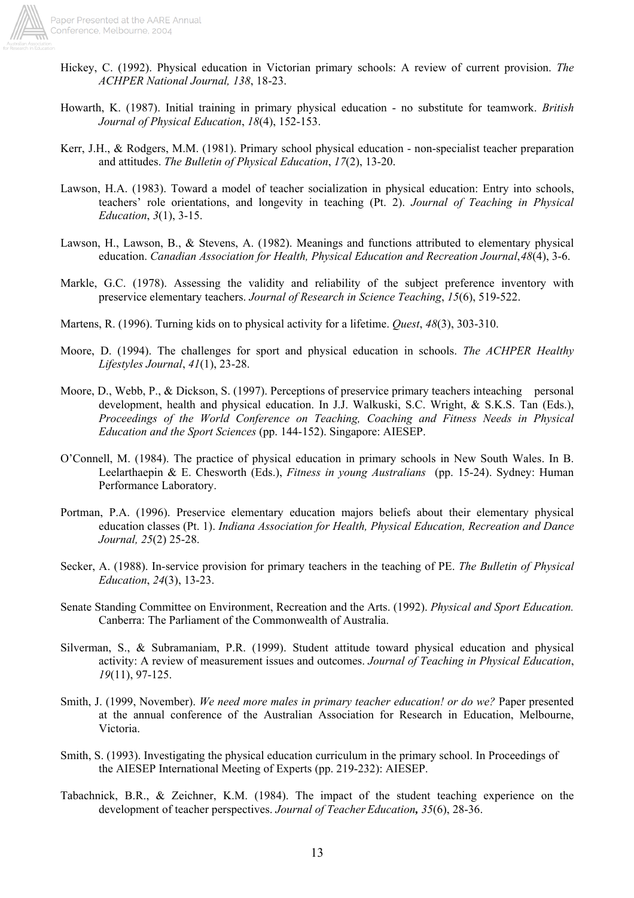

- Hickey, C. (1992). Physical education in Victorian primary schools: A review of current provision. *The ACHPER National Journal, 138*, 18-23.
- Howarth, K. (1987). Initial training in primary physical education no substitute for teamwork. *British Journal of Physical Education*, *18*(4), 152-153.
- Kerr, J.H., & Rodgers, M.M. (1981). Primary school physical education non-specialist teacher preparation and attitudes. *The Bulletin of Physical Education*, *17*(2), 13-20.
- Lawson, H.A. (1983). Toward a model of teacher socialization in physical education: Entry into schools, teachers' role orientations, and longevity in teaching (Pt. 2). *Journal of Teaching in Physical Education*, *3*(1), 3-15.
- Lawson, H., Lawson, B., & Stevens, A. (1982). Meanings and functions attributed to elementary physical education. *Canadian Association for Health, Physical Education and Recreation Journal, 48(4), 3-6.*
- Markle, G.C. (1978). Assessing the validity and reliability of the subject preference inventory with preservice elementary teachers. *Journal of Research in Science Teaching*, *15*(6), 519-522.
- Martens, R. (1996). Turning kids on to physical activity for a lifetime. *Quest*, *48*(3), 303-310.
- Moore, D. (1994). The challenges for sport and physical education in schools. *The ACHPER Healthy Lifestyles Journal*, *41*(1), 23-28.
- Moore, D., Webb, P., & Dickson, S. (1997). Perceptions of preservice primary teachers inteaching personal development, health and physical education. In J.J. Walkuski, S.C. Wright, & S.K.S. Tan (Eds.), *Proceedings of the World Conference on Teaching, Coaching and Fitness Needs in Physical Education and the Sport Sciences* (pp. 144-152). Singapore: AIESEP.
- O'Connell, M. (1984). The practice of physical education in primary schools in New South Wales. In B. Leelarthaepin & E. Chesworth (Eds.), *Fitness in young Australians* (pp. 15-24). Sydney: Human Performance Laboratory.
- Portman, P.A. (1996). Preservice elementary education majors beliefs about their elementary physical education classes (Pt. 1). *Indiana Association for Health, Physical Education, Recreation and Dance Journal, 25*(2) 25-28.
- Secker, A. (1988). In-service provision for primary teachers in the teaching of PE. *The Bulletin of Physical Education*, *24*(3), 13-23.
- Senate Standing Committee on Environment, Recreation and the Arts. (1992). *Physical and Sport Education.* Canberra: The Parliament of the Commonwealth of Australia.
- Silverman, S., & Subramaniam, P.R. (1999). Student attitude toward physical education and physical activity: A review of measurement issues and outcomes. *Journal of Teaching in Physical Education*, *19*(11), 97-125.
- Smith, J. (1999, November). *We need more males in primary teacher education! or do we?* Paper presented at the annual conference of the Australian Association for Research in Education, Melbourne, Victoria.
- Smith, S. (1993). Investigating the physical education curriculum in the primary school. In Proceedings of the AIESEP International Meeting of Experts (pp. 219-232): AIESEP.
- Tabachnick, B.R., & Zeichner, K.M. (1984). The impact of the student teaching experience on the development of teacher perspectives. *Journal of Teacher Education, 35*(6), 28-36.